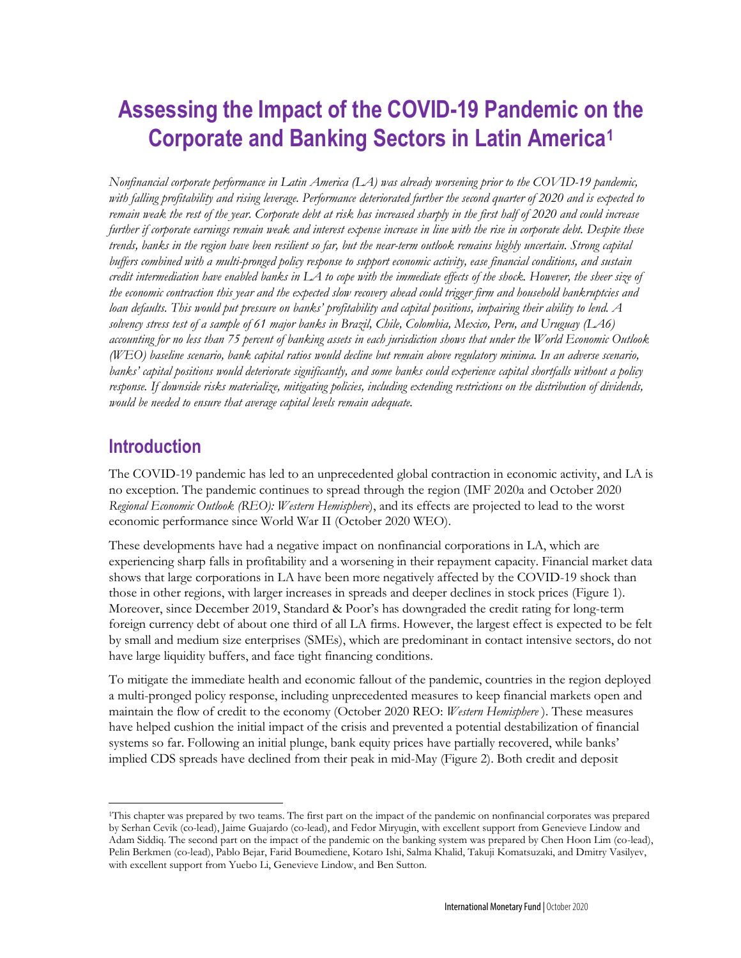# **Assessing the Impact of the COVID-19 Pandemic on the Corporate and Banking Sectors in Latin America[1](#page-0-0)**

*Nonfinancial corporate performance in Latin America (LA) was already worsening prior to the COVID-19 pandemic, with falling profitability and rising leverage. Performance deteriorated further the second quarter of 2020 and is expected to remain weak the rest of the year. Corporate debt at risk has increased sharply in the first half of 2020 and could increase further if corporate earnings remain weak and interest expense increase in line with the rise in corporate debt. Despite these trends, banks in the region have been resilient so far, but the near-term outlook remains highly uncertain. Strong capital buffers combined with a multi-pronged policy response to support economic activity, ease financial conditions, and sustain credit intermediation have enabled banks in LA to cope with the immediate effects of the shock. However, the sheer size of the economic contraction this year and the expected slow recovery ahead could trigger firm and household bankruptcies and loan defaults. This would put pressure on banks' profitability and capital positions, impairing their ability to lend. A solvency stress test of a sample of 61 major banks in Brazil, Chile, Colombia, Mexico, Peru, and Uruguay (LA6) accounting for no less than 75 percent of banking assets in each jurisdiction shows that under the World Economic Outlook (WEO) baseline scenario, bank capital ratios would decline but remain above regulatory minima. In an adverse scenario, banks' capital positions would deteriorate significantly, and some banks could experience capital shortfalls without a policy response. If downside risks materialize, mitigating policies, including extending restrictions on the distribution of dividends, would be needed to ensure that average capital levels remain adequate.* 

# **Introduction**

The COVID-19 pandemic has led to an unprecedented global contraction in economic activity, and LA is no exception. The pandemic continues to spread through the region (IMF 2020a and October 2020 *Regional Economic Outlook (REO): Western Hemisphere*), and its effects are projected to lead to the worst economic performance since World War II (October 2020 WEO).

These developments have had a negative impact on nonfinancial corporations in LA, which are experiencing sharp falls in profitability and a worsening in their repayment capacity. Financial market data shows that large corporations in LA have been more negatively affected by the COVID-19 shock than those in other regions, with larger increases in spreads and deeper declines in stock prices (Figure 1). Moreover, since December 2019, Standard & Poor's has downgraded the credit rating for long-term foreign currency debt of about one third of all LA firms. However, the largest effect is expected to be felt by small and medium size enterprises (SMEs), which are predominant in contact intensive sectors, do not have large liquidity buffers, and face tight financing conditions.

To mitigate the immediate health and economic fallout of the pandemic, countries in the region deployed a multi-pronged policy response, including unprecedented measures to keep financial markets open and maintain the flow of credit to the economy (October 2020 REO: *Western Hemisphere* ). These measures have helped cushion the initial impact of the crisis and prevented a potential destabilization of financial systems so far. Following an initial plunge, bank equity prices have partially recovered, while banks' implied CDS spreads have declined from their peak in mid-May (Figure 2). Both credit and deposit

<span id="page-0-0"></span><sup>1</sup>This chapter was prepared by two teams. The first part on the impact of the pandemic on nonfinancial corporates was prepared by Serhan Cevik (co-lead), Jaime Guajardo (co-lead), and Fedor Miryugin, with excellent support from Genevieve Lindow and Adam Siddiq. The second part on the impact of the pandemic on the banking system was prepared by Chen Hoon Lim (co-lead), Pelin Berkmen (co-lead), Pablo Bejar, Farid Boumediene, Kotaro Ishi, Salma Khalid, Takuji Komatsuzaki, and Dmitry Vasilyev, with excellent support from Yuebo Li, Genevieve Lindow, and Ben Sutton.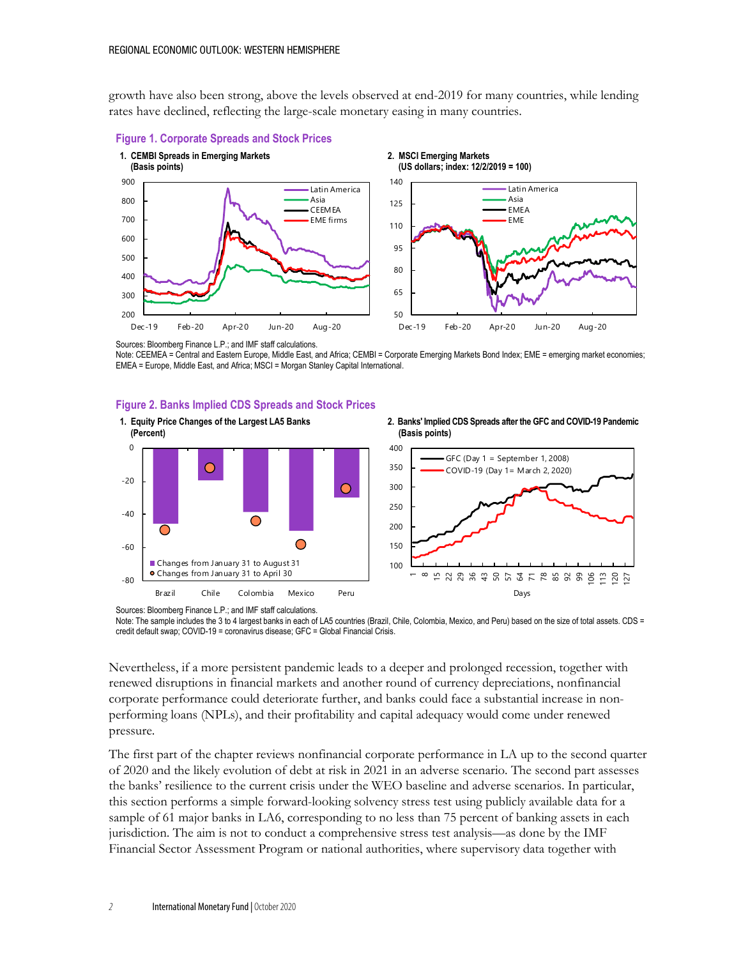growth have also been strong, above the levels observed at end-2019 for many countries, while lending rates have declined, reflecting the large-scale monetary easing in many countries.



Sources: Bloomberg Finance L.P.; and IMF staff calculations.

Note: CEEMEA = Central and Eastern Europe, Middle East, and Africa; CEMBI = Corporate Emerging Markets Bond Index; EME = emerging market economies; EMEA = Europe, Middle East, and Africa; MSCI = Morgan Stanley Capital International.

#### **Figure 2. Banks Implied CDS Spreads and Stock Prices**



Sources: Bloomberg Finance L.P.; and IMF staff calculations.

Note: The sample includes the 3 to 4 largest banks in each of LA5 countries (Brazil, Chile, Colombia, Mexico, and Peru) based on the size of total assets. CDS = credit default swap; COVID-19 = coronavirus disease; GFC = Global Financial Crisis.

Nevertheless, if a more persistent pandemic leads to a deeper and prolonged recession, together with renewed disruptions in financial markets and another round of currency depreciations, nonfinancial corporate performance could deteriorate further, and banks could face a substantial increase in nonperforming loans (NPLs), and their profitability and capital adequacy would come under renewed pressure.

The first part of the chapter reviews nonfinancial corporate performance in LA up to the second quarter of 2020 and the likely evolution of debt at risk in 2021 in an adverse scenario. The second part assesses the banks' resilience to the current crisis under the WEO baseline and adverse scenarios. In particular, this section performs a simple forward-looking solvency stress test using publicly available data for a sample of 61 major banks in LA6, corresponding to no less than 75 percent of banking assets in each jurisdiction. The aim is not to conduct a comprehensive stress test analysis—as done by the IMF Financial Sector Assessment Program or national authorities, where supervisory data together with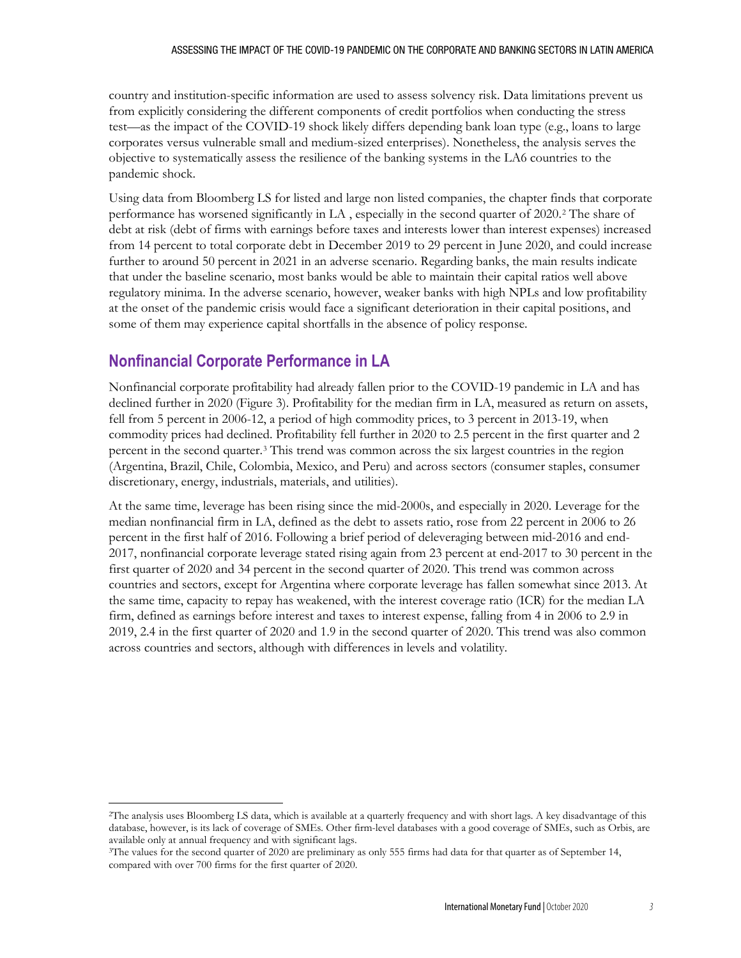#### ASSESSING THE IMPACT OF THE COVID-19 PANDEMIC ON THE CORPORATE AND BANKING SECTORS IN LATIN AMERICA

country and institution-specific information are used to assess solvency risk. Data limitations prevent us from explicitly considering the different components of credit portfolios when conducting the stress test—as the impact of the COVID-19 shock likely differs depending bank loan type (e.g., loans to large corporates versus vulnerable small and medium-sized enterprises). Nonetheless, the analysis serves the objective to systematically assess the resilience of the banking systems in the LA6 countries to the pandemic shock.

Using data from Bloomberg LS for listed and large non listed companies, the chapter finds that corporate performance has worsened significantly in LA , especially in the second quarter of 2020.[2](#page-2-0) The share of debt at risk (debt of firms with earnings before taxes and interests lower than interest expenses) increased from 14 percent to total corporate debt in December 2019 to 29 percent in June 2020, and could increase further to around 50 percent in 2021 in an adverse scenario. Regarding banks, the main results indicate that under the baseline scenario, most banks would be able to maintain their capital ratios well above regulatory minima. In the adverse scenario, however, weaker banks with high NPLs and low profitability at the onset of the pandemic crisis would face a significant deterioration in their capital positions, and some of them may experience capital shortfalls in the absence of policy response.

# **Nonfinancial Corporate Performance in LA**

Nonfinancial corporate profitability had already fallen prior to the COVID-19 pandemic in LA and has declined further in 2020 (Figure 3). Profitability for the median firm in LA, measured as return on assets, fell from 5 percent in 2006-12, a period of high commodity prices, to 3 percent in 2013-19, when commodity prices had declined. Profitability fell further in 2020 to 2.5 percent in the first quarter and 2 percent in the second quarter.[3](#page-2-1) This trend was common across the six largest countries in the region (Argentina, Brazil, Chile, Colombia, Mexico, and Peru) and across sectors (consumer staples, consumer discretionary, energy, industrials, materials, and utilities).

At the same time, leverage has been rising since the mid-2000s, and especially in 2020. Leverage for the median nonfinancial firm in LA, defined as the debt to assets ratio, rose from 22 percent in 2006 to 26 percent in the first half of 2016. Following a brief period of deleveraging between mid-2016 and end-2017, nonfinancial corporate leverage stated rising again from 23 percent at end-2017 to 30 percent in the first quarter of 2020 and 34 percent in the second quarter of 2020. This trend was common across countries and sectors, except for Argentina where corporate leverage has fallen somewhat since 2013. At the same time, capacity to repay has weakened, with the interest coverage ratio (ICR) for the median LA firm, defined as earnings before interest and taxes to interest expense, falling from 4 in 2006 to 2.9 in 2019, 2.4 in the first quarter of 2020 and 1.9 in the second quarter of 2020. This trend was also common across countries and sectors, although with differences in levels and volatility.

<span id="page-2-0"></span><sup>2</sup>The analysis uses Bloomberg LS data, which is available at a quarterly frequency and with short lags. A key disadvantage of this database, however, is its lack of coverage of SMEs. Other firm-level databases with a good coverage of SMEs, such as Orbis, are available only at annual frequency and with significant lags.

<span id="page-2-1"></span><sup>3</sup>The values for the second quarter of 2020 are preliminary as only 555 firms had data for that quarter as of September 14, compared with over 700 firms for the first quarter of 2020.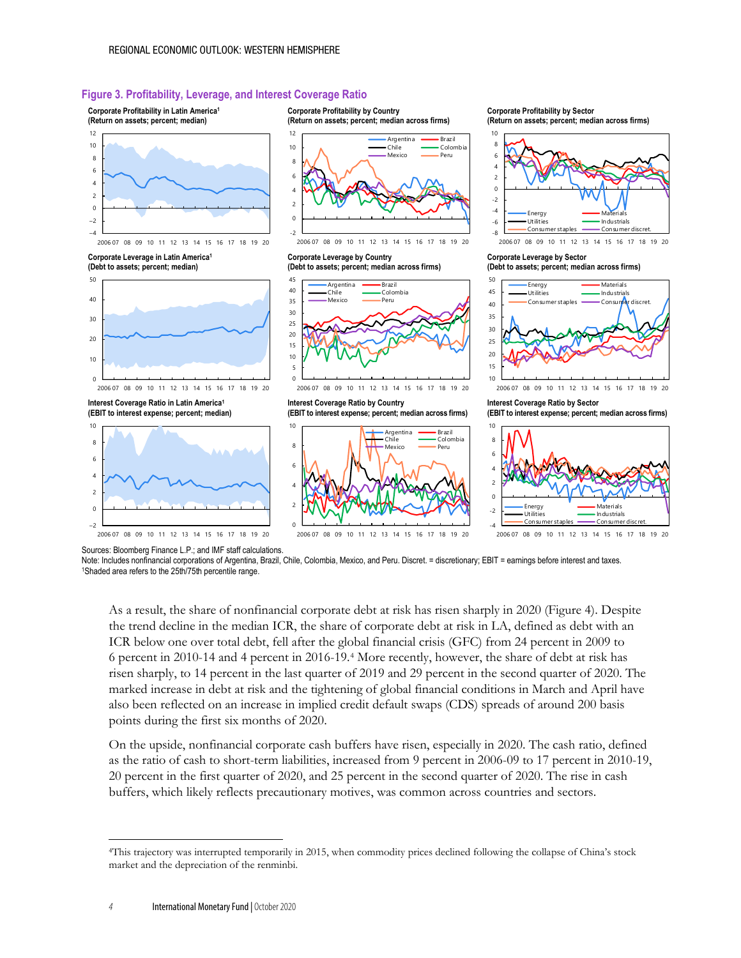#### **Figure 3. Profitability, Leverage, and Interest Coverage Ratio**



Note: Includes nonfinancial corporations of Argentina, Brazil, Chile, Colombia, Mexico, and Peru. Discret. = discretionary; EBIT = earnings before interest and taxes. 1Shaded area refers to the 25th/75th percentile range.

As a result, the share of nonfinancial corporate debt at risk has risen sharply in 2020 (Figure 4). Despite the trend decline in the median ICR, the share of corporate debt at risk in LA, defined as debt with an ICR below one over total debt, fell after the global financial crisis (GFC) from 24 percent in 2009 to 6 percent in 2010-14 and 4 percent in 2016-19.[4](#page-3-0) More recently, however, the share of debt at risk has risen sharply, to 14 percent in the last quarter of 2019 and 29 percent in the second quarter of 2020. The marked increase in debt at risk and the tightening of global financial conditions in March and April have also been reflected on an increase in implied credit default swaps (CDS) spreads of around 200 basis points during the first six months of 2020.

On the upside, nonfinancial corporate cash buffers have risen, especially in 2020. The cash ratio, defined as the ratio of cash to short-term liabilities, increased from 9 percent in 2006-09 to 17 percent in 2010-19, 20 percent in the first quarter of 2020, and 25 percent in the second quarter of 2020. The rise in cash buffers, which likely reflects precautionary motives, was common across countries and sectors.

<span id="page-3-0"></span><sup>4</sup>This trajectory was interrupted temporarily in 2015, when commodity prices declined following the collapse of China's stock market and the depreciation of the renminbi.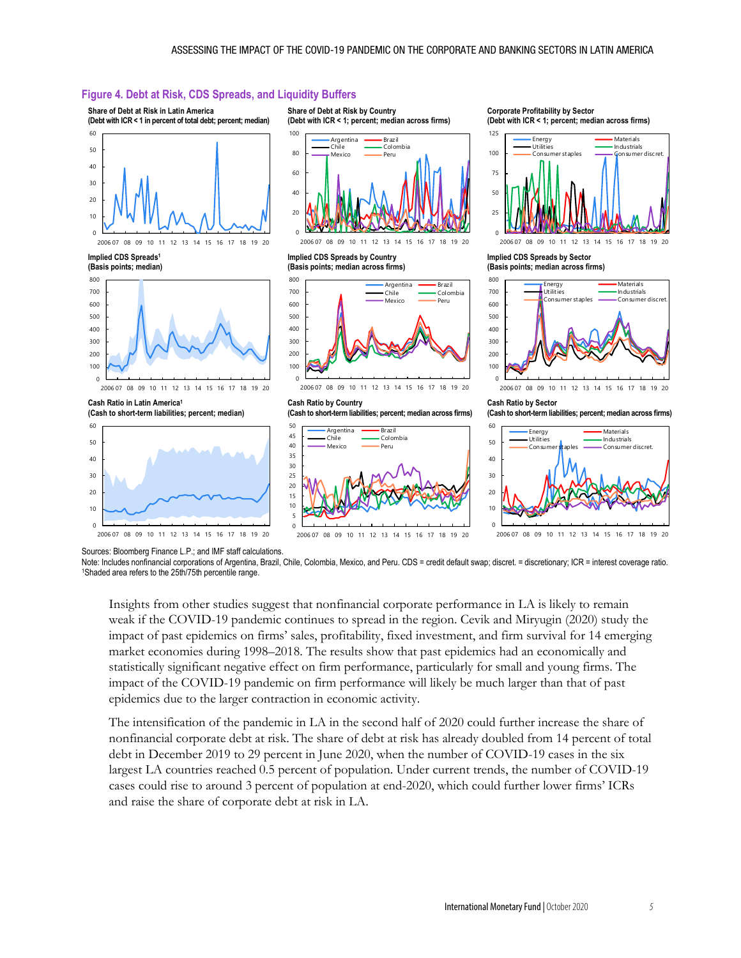#### **Figure 4. Debt at Risk, CDS Spreads, and Liquidity Buffers**



Note: Includes nonfinancial corporations of Argentina, Brazil, Chile, Colombia, Mexico, and Peru. CDS = credit default swap; discret. = discretionary; ICR = interest coverage ratio. 1Shaded area refers to the 25th/75th percentile range.

Insights from other studies suggest that nonfinancial corporate performance in LA is likely to remain weak if the COVID-19 pandemic continues to spread in the region. Cevik and Miryugin (2020) study the impact of past epidemics on firms' sales, profitability, fixed investment, and firm survival for 14 emerging market economies during 1998–2018. The results show that past epidemics had an economically and statistically significant negative effect on firm performance, particularly for small and young firms. The impact of the COVID-19 pandemic on firm performance will likely be much larger than that of past epidemics due to the larger contraction in economic activity.

The intensification of the pandemic in LA in the second half of 2020 could further increase the share of nonfinancial corporate debt at risk. The share of debt at risk has already doubled from 14 percent of total debt in December 2019 to 29 percent in June 2020, when the number of COVID-19 cases in the six largest LA countries reached 0.5 percent of population. Under current trends, the number of COVID-19 cases could rise to around 3 percent of population at end-2020, which could further lower firms' ICRs and raise the share of corporate debt at risk in LA.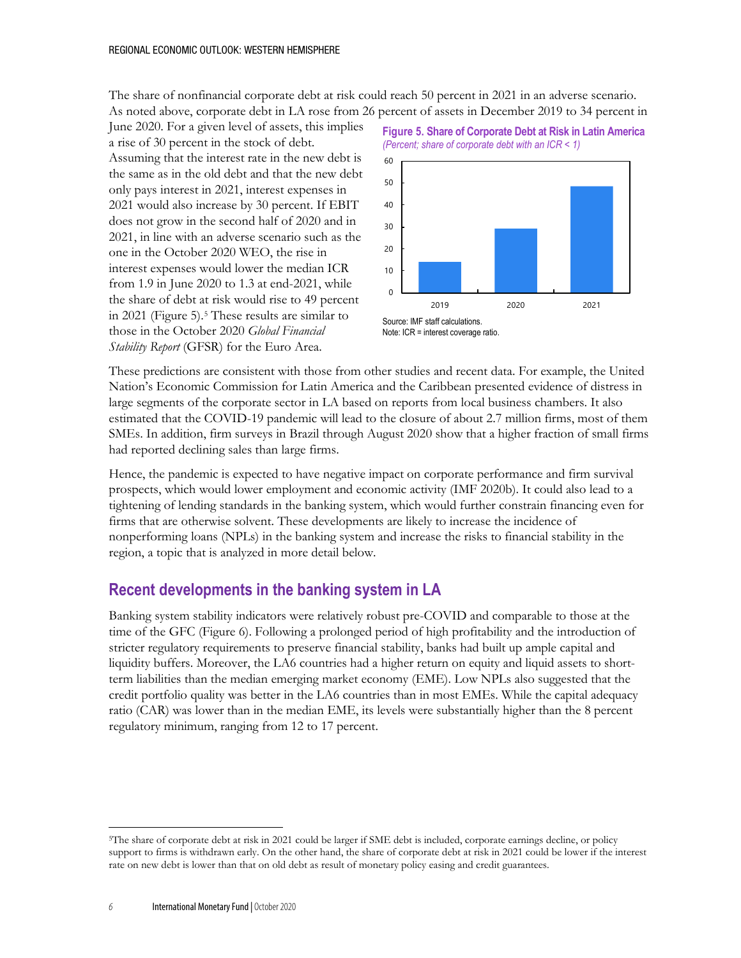The share of nonfinancial corporate debt at risk could reach 50 percent in 2021 in an adverse scenario. As noted above, corporate debt in LA rose from 26 percent of assets in December 2019 to 34 percent in

June 2020. For a given level of assets, this implies a rise of 30 percent in the stock of debt. Assuming that the interest rate in the new debt is the same as in the old debt and that the new debt only pays interest in 2021, interest expenses in 2021 would also increase by 30 percent. If EBIT does not grow in the second half of 2020 and in 2021, in line with an adverse scenario such as the one in the October 2020 WEO, the rise in interest expenses would lower the median ICR from 1.9 in June 2020 to 1.3 at end-2021, while the share of debt at risk would rise to 49 percent in 2021 (Figure 5).[5](#page-5-0) These results are similar to those in the October 2020 *Global Financial Stability Report* (GFSR) for the Euro Area.



**Figure 5. Share of Corporate Debt at Risk in Latin America**

These predictions are consistent with those from other studies and recent data. For example, the United Nation's Economic Commission for Latin America and the Caribbean presented evidence of distress in large segments of the corporate sector in LA based on reports from local business chambers. It also estimated that the COVID-19 pandemic will lead to the closure of about 2.7 million firms, most of them SMEs. In addition, firm surveys in Brazil through August 2020 show that a higher fraction of small firms had reported declining sales than large firms.

Hence, the pandemic is expected to have negative impact on corporate performance and firm survival prospects, which would lower employment and economic activity (IMF 2020b). It could also lead to a tightening of lending standards in the banking system, which would further constrain financing even for firms that are otherwise solvent. These developments are likely to increase the incidence of nonperforming loans (NPLs) in the banking system and increase the risks to financial stability in the region, a topic that is analyzed in more detail below.

## **Recent developments in the banking system in LA**

Banking system stability indicators were relatively robust pre-COVID and comparable to those at the time of the GFC (Figure 6). Following a prolonged period of high profitability and the introduction of stricter regulatory requirements to preserve financial stability, banks had built up ample capital and liquidity buffers. Moreover, the LA6 countries had a higher return on equity and liquid assets to shortterm liabilities than the median emerging market economy (EME). Low NPLs also suggested that the credit portfolio quality was better in the LA6 countries than in most EMEs. While the capital adequacy ratio (CAR) was lower than in the median EME, its levels were substantially higher than the 8 percent regulatory minimum, ranging from 12 to 17 percent.

Note: ICR = interest coverage ratio.

<span id="page-5-0"></span><sup>5</sup>The share of corporate debt at risk in 2021 could be larger if SME debt is included, corporate earnings decline, or policy support to firms is withdrawn early. On the other hand, the share of corporate debt at risk in 2021 could be lower if the interest rate on new debt is lower than that on old debt as result of monetary policy easing and credit guarantees.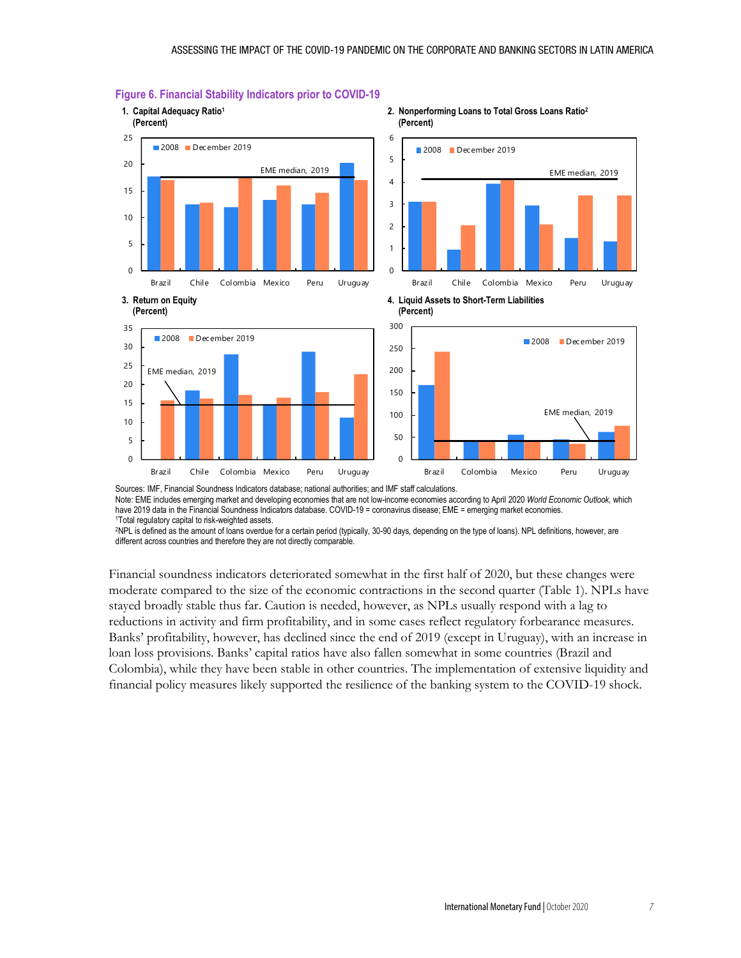

#### **Figure 6. Financial Stability Indicators prior to COVID-19**

Sources: IMF, Financial Soundness Indicators database; national authorities; and IMF staff calculations. Note: EME includes emerging market and developing economies that are not low-income economies according to April 2020 *World Economic Outlook,* which

have 2019 data in the Financial Soundness Indicators database. COVID-19 = coronavirus disease; EME = emerging market economies.

1Total regulatory capital to risk-weighted assets.<br>2NPL is defined as the amount of loans overdue for a certain period (typically, 30-90 days, depending on the type of loans). NPL definitions, however, are different across countries and therefore they are not directly comparable.

Financial soundness indicators deteriorated somewhat in the first half of 2020, but these changes were moderate compared to the size of the economic contractions in the second quarter (Table 1). NPLs have stayed broadly stable thus far. Caution is needed, however, as NPLs usually respond with a lag to reductions in activity and firm profitability, and in some cases reflect regulatory forbearance measures. Banks' profitability, however, has declined since the end of 2019 (except in Uruguay), with an increase in loan loss provisions. Banks' capital ratios have also fallen somewhat in some countries (Brazil and Colombia), while they have been stable in other countries. The implementation of extensive liquidity and financial policy measures likely supported the resilience of the banking system to the COVID-19 shock.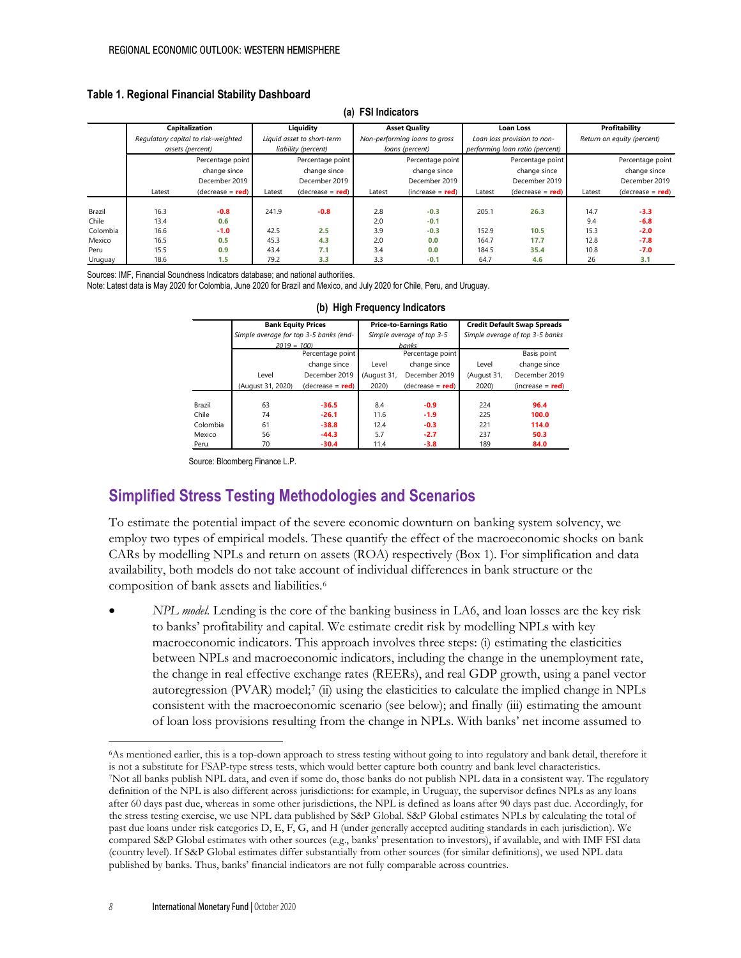#### **Table 1. Regional Financial Stability Dashboard**

| la)<br><b>FUI IIIUI</b> UALUIS |                                     |                    |                            |                     |                               |                    |                                 |                    |                            |                    |
|--------------------------------|-------------------------------------|--------------------|----------------------------|---------------------|-------------------------------|--------------------|---------------------------------|--------------------|----------------------------|--------------------|
|                                | <b>Capitalization</b>               |                    | Liquidity                  |                     | <b>Asset Quality</b>          |                    | Loan Loss                       |                    | Profitability              |                    |
|                                | Regulatory capital to risk-weighted |                    | Liquid asset to short-term |                     | Non-performing loans to gross |                    | Loan loss provision to non-     |                    | Return on equity (percent) |                    |
|                                | assets (percent)                    |                    | liability (percent)        |                     | loans (percent)               |                    | performing loan ratio (percent) |                    |                            |                    |
|                                |                                     | Percentage point   |                            | Percentage point    |                               | Percentage point   |                                 | Percentage point   |                            | Percentage point   |
|                                |                                     | change since       |                            | change since        |                               | change since       |                                 | change since       |                            | change since       |
|                                |                                     | December 2019      |                            | December 2019       |                               | December 2019      |                                 | December 2019      |                            | December 2019      |
|                                | Latest                              | $(decrease = red)$ | Latest                     | (decrease = $red$ ) | Latest                        | $(increase = red)$ | Latest                          | $(decrease = red)$ | Latest                     | $(decrease = red)$ |
|                                |                                     |                    |                            |                     |                               |                    |                                 |                    |                            |                    |
| Brazil                         | 16.3                                | $-0.8$             | 241.9                      | $-0.8$              | 2.8                           | $-0.3$             | 205.1                           | 26.3               | 14.7                       | $-3.3$             |
| Chile                          | 13.4                                | 0.6                |                            |                     | 2.0                           | $-0.1$             |                                 |                    | 9.4                        | $-6.8$             |
| Colombia                       | 16.6                                | $-1.0$             | 42.5                       | 2.5                 | 3.9                           | $-0.3$             | 152.9                           | 10.5               | 15.3                       | $-2.0$             |
| Mexico                         | 16.5                                | 0.5                | 45.3                       | 4.3                 | 2.0                           | 0.0                | 164.7                           | 17.7               | 12.8                       | $-7.8$             |
| Peru                           | 15.5                                | 0.9                | 43.4                       | 7.1                 | 3.4                           | 0.0                | 184.5                           | 35.4               | 10.8                       | $-7.0$             |
| Uruguay                        | 18.6                                | 1.5                | 79.2                       | 3.3                 | 3.3                           | $-0.1$             | 64.7                            | 4.6                | 26                         | 3.1                |

#### **(a) FSI Indicators**

Sources: IMF, Financial Soundness Indicators database; and national authorities.

Note: Latest data is May 2020 for Colombia, June 2020 for Brazil and Mexico, and July 2020 for Chile, Peru, and Uruguay.

|          | <b>Bank Equity Prices</b>              |                    |                  | <b>Price-to-Earnings Ratio</b> | <b>Credit Default Swap Spreads</b> |                  |  |  |  |
|----------|----------------------------------------|--------------------|------------------|--------------------------------|------------------------------------|------------------|--|--|--|
|          | Simple average for top 3-5 banks (end- |                    |                  | Simple average of top 3-5      | Simple average of top 3-5 banks    |                  |  |  |  |
|          | $2019 = 100$                           |                    |                  | <b>banks</b>                   |                                    |                  |  |  |  |
|          |                                        | Percentage point   | Percentage point |                                |                                    | Basis point      |  |  |  |
|          |                                        | change since       | Level            | change since                   | Level                              | change since     |  |  |  |
|          | Level                                  | December 2019      | (August 31,      | December 2019                  | (August 31,                        | December 2019    |  |  |  |
|          | (August 31, 2020)                      | $(decrease = red)$ | 2020)            | $(decrease = red)$             | 2020)                              | (increase = red) |  |  |  |
|          |                                        |                    |                  |                                |                                    |                  |  |  |  |
| Brazil   | 63                                     | $-36.5$            | 8.4              | $-0.9$                         | 224                                | 96.4             |  |  |  |
| Chile    | 74                                     | $-26.1$            | 11.6             | $-1.9$                         | 225                                | 100.0            |  |  |  |
| Colombia | 61                                     | $-38.8$            | 12.4             | $-0.3$                         | 221                                | 114.0            |  |  |  |
| Mexico   | 56                                     | $-44.3$            | 5.7              | $-2.7$                         | 237                                | 50.3             |  |  |  |
| Peru     | 70                                     | $-30.4$            | 11.4             | $-3.8$                         | 189                                | 84.0             |  |  |  |

#### **(b) High Frequency Indicators**

Source: Bloomberg Finance L.P.

# **Simplified Stress Testing Methodologies and Scenarios**

To estimate the potential impact of the severe economic downturn on banking system solvency, we employ two types of empirical models. These quantify the effect of the macroeconomic shocks on bank CARs by modelling NPLs and return on assets (ROA) respectively (Box 1). For simplification and data availability, both models do not take account of individual differences in bank structure or the composition of bank assets and liabilities.[6](#page-7-0)

• *NPL model.* Lending is the core of the banking business in LA6, and loan losses are the key risk to banks' profitability and capital. We estimate credit risk by modelling NPLs with key macroeconomic indicators. This approach involves three steps: (i) estimating the elasticities between NPLs and macroeconomic indicators, including the change in the unemployment rate, the change in real effective exchange rates (REERs), and real GDP growth, using a panel vector autoregression (PVAR) model;[7](#page-7-1) (ii) using the elasticities to calculate the implied change in NPLs consistent with the macroeconomic scenario (see below); and finally (iii) estimating the amount of loan loss provisions resulting from the change in NPLs. With banks' net income assumed to

<span id="page-7-1"></span><span id="page-7-0"></span><sup>6</sup>As mentioned earlier, this is a top-down approach to stress testing without going to into regulatory and bank detail, therefore it is not a substitute for FSAP-type stress tests, which would better capture both country and bank level characteristics.<br>TNot all banks publish NPL data, and even if some do, those banks do not publish NPL data in a consist definition of the NPL is also different across jurisdictions: for example, in Uruguay, the supervisor defines NPLs as any loans after 60 days past due, whereas in some other jurisdictions, the NPL is defined as loans after 90 days past due. Accordingly, for the stress testing exercise, we use NPL data published by S&P Global. S&P Global estimates NPLs by calculating the total of past due loans under risk categories D, E, F, G, and H (under generally accepted auditing standards in each jurisdiction). We compared S&P Global estimates with other sources (e.g., banks' presentation to investors), if available, and with IMF FSI data (country level). If S&P Global estimates differ substantially from other sources (for similar definitions), we used NPL data published by banks. Thus, banks' financial indicators are not fully comparable across countries.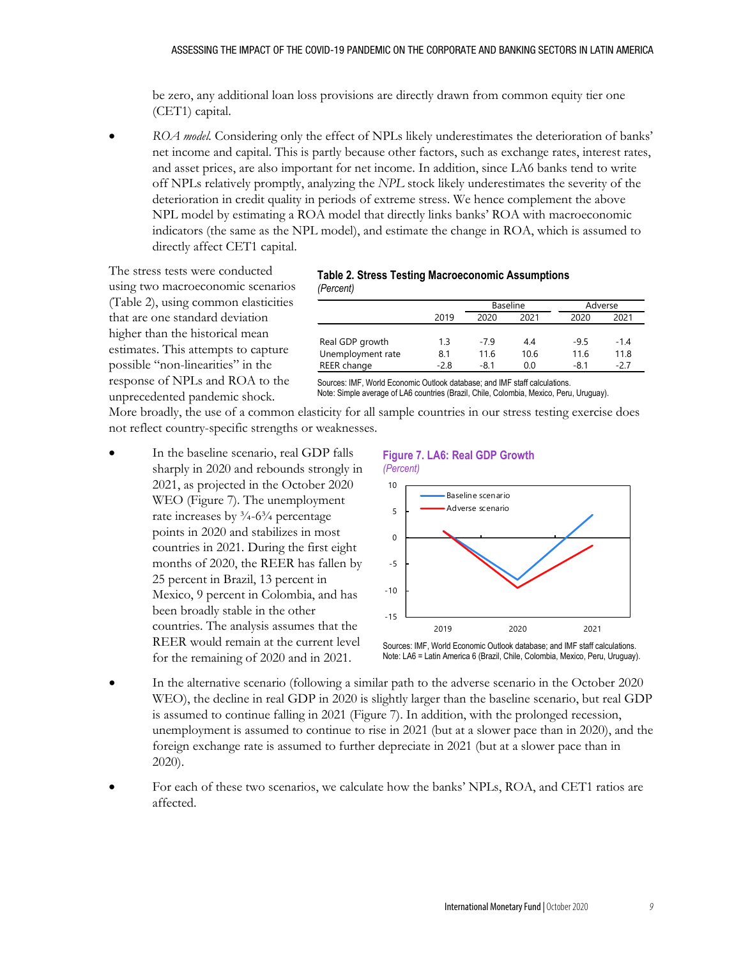be zero, any additional loan loss provisions are directly drawn from common equity tier one (CET1) capital.

• *ROA model.* Considering only the effect of NPLs likely underestimates the deterioration of banks' net income and capital. This is partly because other factors, such as exchange rates, interest rates, and asset prices, are also important for net income. In addition, since LA6 banks tend to write off NPLs relatively promptly, analyzing the *NPL* stock likely underestimates the severity of the deterioration in credit quality in periods of extreme stress. We hence complement the above NPL model by estimating a ROA model that directly links banks' ROA with macroeconomic indicators (the same as the NPL model), and estimate the change in ROA, which is assumed to directly affect CET1 capital.

The stress tests were conducted using two macroeconomic scenarios (Table 2), using common elasticities that are one standard deviation higher than the historical mean estimates. This attempts to capture possible "non-linearities" in the response of NPLs and ROA to the unprecedented pandemic shock.

#### **Table 2. Stress Testing Macroeconomic Assumptions** *(Percent)*

|                   |      | Baseline |      | Adverse |        |
|-------------------|------|----------|------|---------|--------|
|                   | 2019 | 2020     | 2021 | 2020    | 2021   |
|                   |      |          |      |         |        |
| Real GDP growth   | 1.3  | -79      | 4.4  | $-9.5$  | $-1.4$ |
| Unemployment rate | 8.1  | 11.6     | 10.6 | 11.6    | 11.8   |
| REER change       | -2.8 | $-8.1$   | 0.0  | -8.1    | -27    |

Sources: IMF, World Economic Outlook database; and IMF staff calculations. Note: Simple average of LA6 countries (Brazil, Chile, Colombia, Mexico, Peru, Uruguay).

More broadly, the use of a common elasticity for all sample countries in our stress testing exercise does not reflect country-specific strengths or weaknesses.

In the baseline scenario, real GDP falls sharply in 2020 and rebounds strongly in 2021, as projected in the October 2020 WEO (Figure 7). The unemployment rate increases by  $\frac{3}{4}$ -6 $\frac{3}{4}$  percentage points in 2020 and stabilizes in most countries in 2021. During the first eight months of 2020, the REER has fallen by 25 percent in Brazil, 13 percent in Mexico, 9 percent in Colombia, and has been broadly stable in the other countries. The analysis assumes that the REER would remain at the current level for the remaining of 2020 and in 2021.

#### **Figure 7. LA6: Real GDP Growth**



Note: LA6 = Latin America 6 (Brazil, Chile, Colombia, Mexico, Peru, Uruguay).

- In the alternative scenario (following a similar path to the adverse scenario in the October 2020 WEO), the decline in real GDP in 2020 is slightly larger than the baseline scenario, but real GDP is assumed to continue falling in 2021 (Figure 7). In addition, with the prolonged recession, unemployment is assumed to continue to rise in 2021 (but at a slower pace than in 2020), and the foreign exchange rate is assumed to further depreciate in 2021 (but at a slower pace than in 2020).
- For each of these two scenarios, we calculate how the banks' NPLs, ROA, and CET1 ratios are affected.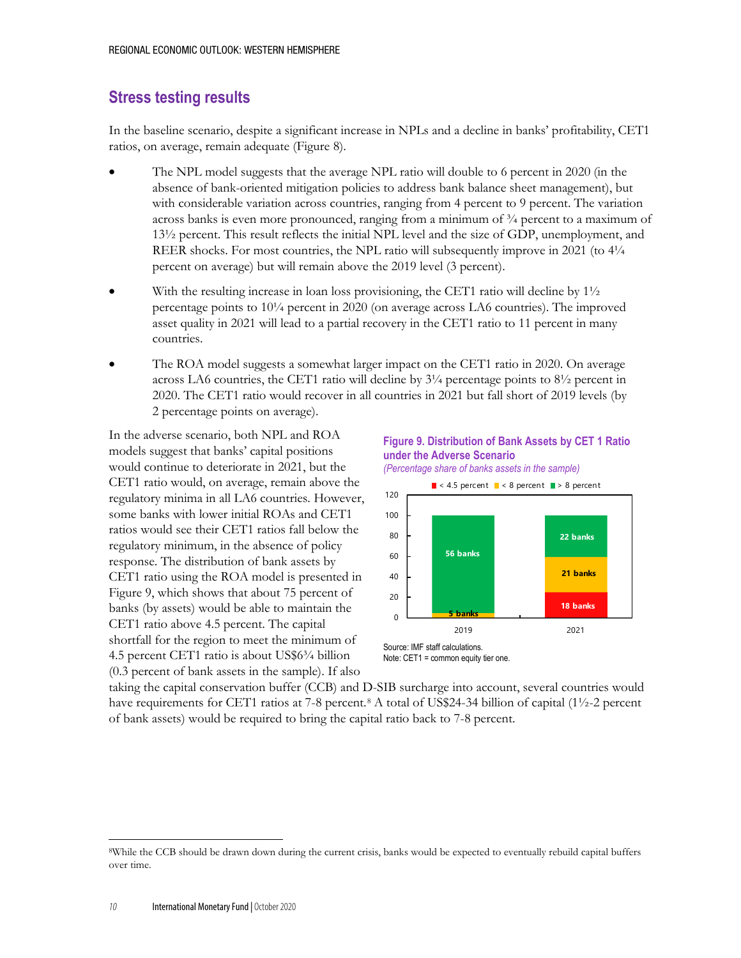## **Stress testing results**

In the baseline scenario, despite a significant increase in NPLs and a decline in banks' profitability, CET1 ratios, on average, remain adequate (Figure 8).

- The NPL model suggests that the average NPL ratio will double to 6 percent in 2020 (in the absence of bank-oriented mitigation policies to address bank balance sheet management), but with considerable variation across countries, ranging from 4 percent to 9 percent. The variation across banks is even more pronounced, ranging from a minimum of  $\frac{3}{4}$  percent to a maximum of 13½ percent. This result reflects the initial NPL level and the size of GDP, unemployment, and REER shocks. For most countries, the NPL ratio will subsequently improve in 2021 (to  $4\frac{1}{4}$ percent on average) but will remain above the 2019 level (3 percent).
- With the resulting increase in loan loss provisioning, the CET1 ratio will decline by  $1\frac{1}{2}$ percentage points to 10¼ percent in 2020 (on average across LA6 countries). The improved asset quality in 2021 will lead to a partial recovery in the CET1 ratio to 11 percent in many countries.
- The ROA model suggests a somewhat larger impact on the CET1 ratio in 2020. On average across LA6 countries, the CET1 ratio will decline by  $3\frac{1}{4}$  percentage points to  $8\frac{1}{2}$  percent in 2020. The CET1 ratio would recover in all countries in 2021 but fall short of 2019 levels (by 2 percentage points on average).

In the adverse scenario, both NPL and ROA models suggest that banks' capital positions would continue to deteriorate in 2021, but the CET1 ratio would, on average, remain above the regulatory minima in all LA6 countries. However, some banks with lower initial ROAs and CET1 ratios would see their CET1 ratios fall below the regulatory minimum, in the absence of policy response. The distribution of bank assets by CET1 ratio using the ROA model is presented in Figure 9, which shows that about 75 percent of banks (by assets) would be able to maintain the CET1 ratio above 4.5 percent. The capital shortfall for the region to meet the minimum of 4.5 percent CET1 ratio is about US\$6¾ billion (0.3 percent of bank assets in the sample). If also







Note: CET1 = common equity tier one.

taking the capital conservation buffer (CCB) and D-SIB surcharge into account, several countries would have requirements for CET1 ratios at 7-[8](#page-9-0) percent.<sup>8</sup> A total of US\$24-34 billion of capital (1½-2 percent of bank assets) would be required to bring the capital ratio back to 7-8 percent.

<span id="page-9-0"></span><sup>8</sup>While the CCB should be drawn down during the current crisis, banks would be expected to eventually rebuild capital buffers over time.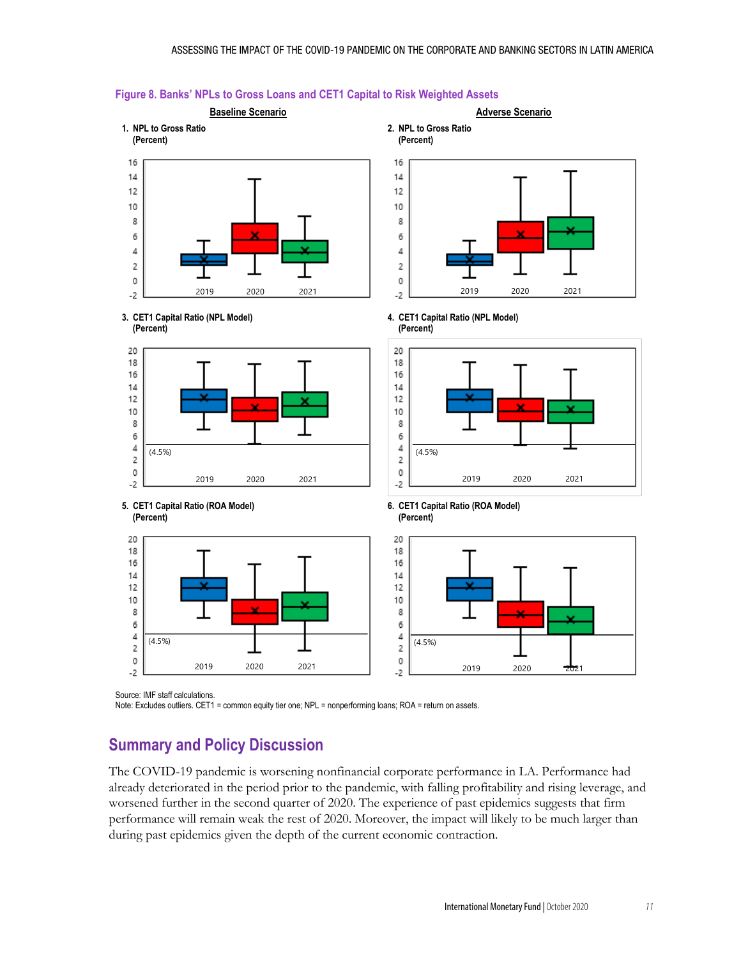

#### **Figure 8. Banks' NPLs to Gross Loans and CET1 Capital to Risk Weighted Assets**

Source: IMF staff calculations.

Note: Excludes outliers. CET1 = common equity tier one; NPL = nonperforming loans; ROA = return on assets.

# **Summary and Policy Discussion**

The COVID-19 pandemic is worsening nonfinancial corporate performance in LA. Performance had already deteriorated in the period prior to the pandemic, with falling profitability and rising leverage, and worsened further in the second quarter of 2020. The experience of past epidemics suggests that firm performance will remain weak the rest of 2020. Moreover, the impact will likely to be much larger than during past epidemics given the depth of the current economic contraction.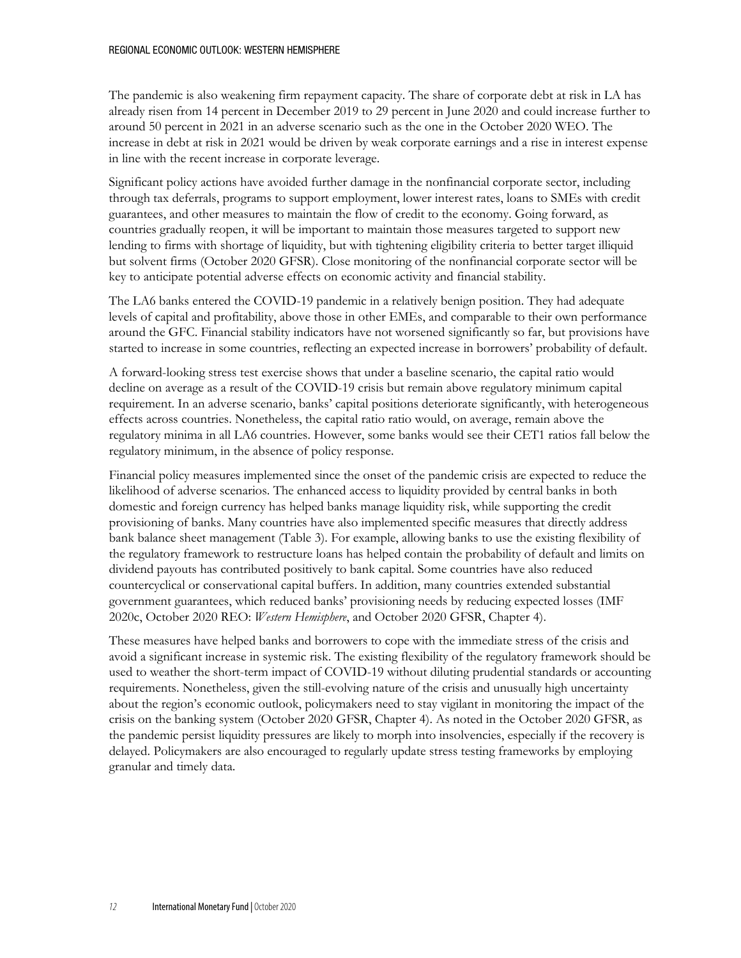#### REGIONAL ECONOMIC OUTLOOK: WESTERN HEMISPHERE

The pandemic is also weakening firm repayment capacity. The share of corporate debt at risk in LA has already risen from 14 percent in December 2019 to 29 percent in June 2020 and could increase further to around 50 percent in 2021 in an adverse scenario such as the one in the October 2020 WEO. The increase in debt at risk in 2021 would be driven by weak corporate earnings and a rise in interest expense in line with the recent increase in corporate leverage.

Significant policy actions have avoided further damage in the nonfinancial corporate sector, including through tax deferrals, programs to support employment, lower interest rates, loans to SMEs with credit guarantees, and other measures to maintain the flow of credit to the economy. Going forward, as countries gradually reopen, it will be important to maintain those measures targeted to support new lending to firms with shortage of liquidity, but with tightening eligibility criteria to better target illiquid but solvent firms (October 2020 GFSR). Close monitoring of the nonfinancial corporate sector will be key to anticipate potential adverse effects on economic activity and financial stability.

The LA6 banks entered the COVID-19 pandemic in a relatively benign position. They had adequate levels of capital and profitability, above those in other EMEs, and comparable to their own performance around the GFC. Financial stability indicators have not worsened significantly so far, but provisions have started to increase in some countries, reflecting an expected increase in borrowers' probability of default.

A forward-looking stress test exercise shows that under a baseline scenario, the capital ratio would decline on average as a result of the COVID-19 crisis but remain above regulatory minimum capital requirement. In an adverse scenario, banks' capital positions deteriorate significantly, with heterogeneous effects across countries. Nonetheless, the capital ratio ratio would, on average, remain above the regulatory minima in all LA6 countries. However, some banks would see their CET1 ratios fall below the regulatory minimum, in the absence of policy response.

Financial policy measures implemented since the onset of the pandemic crisis are expected to reduce the likelihood of adverse scenarios. The enhanced access to liquidity provided by central banks in both domestic and foreign currency has helped banks manage liquidity risk, while supporting the credit provisioning of banks. Many countries have also implemented specific measures that directly address bank balance sheet management (Table 3). For example, allowing banks to use the existing flexibility of the regulatory framework to restructure loans has helped contain the probability of default and limits on dividend payouts has contributed positively to bank capital. Some countries have also reduced countercyclical or conservational capital buffers. In addition, many countries extended substantial government guarantees, which reduced banks' provisioning needs by reducing expected losses (IMF 2020c, October 2020 REO: *Western Hemisphere*, and October 2020 GFSR, Chapter 4).

These measures have helped banks and borrowers to cope with the immediate stress of the crisis and avoid a significant increase in systemic risk. The existing flexibility of the regulatory framework should be used to weather the short-term impact of COVID-19 without diluting prudential standards or accounting requirements. Nonetheless, given the still-evolving nature of the crisis and unusually high uncertainty about the region's economic outlook, policymakers need to stay vigilant in monitoring the impact of the crisis on the banking system (October 2020 GFSR, Chapter 4). As noted in the October 2020 GFSR, as the pandemic persist liquidity pressures are likely to morph into insolvencies, especially if the recovery is delayed. Policymakers are also encouraged to regularly update stress testing frameworks by employing granular and timely data.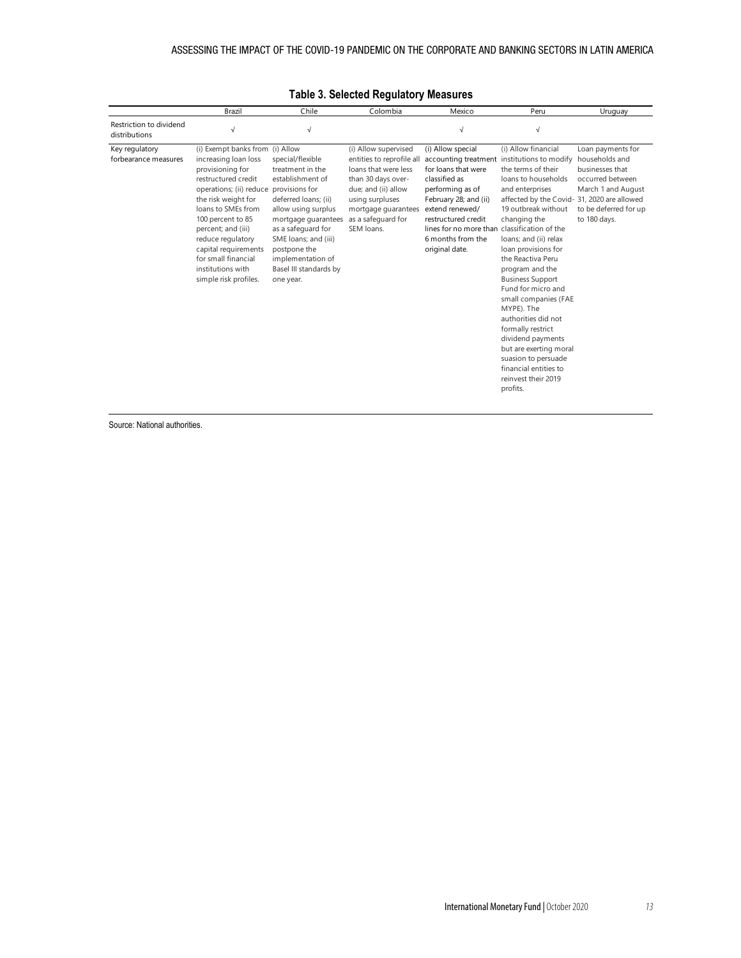|                                          | Brazil                                                                                                                                                                                                                                                                                                                                                 | Chile                                                                                                                                                                                                                                                    | Colombia                                                                                                                                                                                             | Mexico                                                                                                                                                                                                            | Peru                                                                                                                                                                                                                                                                                                                                                                                                                                                                                                                                                                                                           | Uruguay                                                                                                                                   |
|------------------------------------------|--------------------------------------------------------------------------------------------------------------------------------------------------------------------------------------------------------------------------------------------------------------------------------------------------------------------------------------------------------|----------------------------------------------------------------------------------------------------------------------------------------------------------------------------------------------------------------------------------------------------------|------------------------------------------------------------------------------------------------------------------------------------------------------------------------------------------------------|-------------------------------------------------------------------------------------------------------------------------------------------------------------------------------------------------------------------|----------------------------------------------------------------------------------------------------------------------------------------------------------------------------------------------------------------------------------------------------------------------------------------------------------------------------------------------------------------------------------------------------------------------------------------------------------------------------------------------------------------------------------------------------------------------------------------------------------------|-------------------------------------------------------------------------------------------------------------------------------------------|
| Restriction to dividend<br>distributions | $\sqrt{ }$                                                                                                                                                                                                                                                                                                                                             | $\sqrt{ }$                                                                                                                                                                                                                                               |                                                                                                                                                                                                      | $\sqrt{ }$                                                                                                                                                                                                        | $\sqrt{2}$                                                                                                                                                                                                                                                                                                                                                                                                                                                                                                                                                                                                     |                                                                                                                                           |
| Key regulatory<br>forbearance measures   | (i) Exempt banks from (i) Allow<br>increasing loan loss<br>provisioning for<br>restructured credit<br>operations; (ii) reduce provisions for<br>the risk weight for<br>loans to SMEs from<br>100 percent to 85<br>percent; and (iii)<br>reduce regulatory<br>capital requirements<br>for small financial<br>institutions with<br>simple risk profiles. | special/flexible<br>treatment in the<br>establishment of<br>deferred loans; (ii)<br>allow using surplus<br>mortgage guarantees<br>as a safeguard for<br>SME loans; and (iii)<br>postpone the<br>implementation of<br>Basel III standards by<br>one year. | (i) Allow supervised<br>entities to reprofile all<br>loans that were less<br>than 30 days over-<br>due; and (ii) allow<br>using surpluses<br>mortgage guarantees<br>as a safeguard for<br>SEM loans. | (i) Allow special<br>for loans that were<br>classified as<br>performing as of<br>February 28; and (ii)<br>extend renewed/<br>restructured credit<br>lines for no more than<br>6 months from the<br>original date. | (i) Allow financial<br>accounting treatment institutions to modify<br>the terms of their<br>loans to households<br>and enterprises<br>affected by the Covid- 31, 2020 are allowed<br>19 outbreak without<br>changing the<br>classification of the<br>loans; and (ii) relax<br>loan provisions for<br>the Reactiva Peru<br>program and the<br><b>Business Support</b><br>Fund for micro and<br>small companies (FAE<br>MYPE). The<br>authorities did not<br>formally restrict<br>dividend payments<br>but are exerting moral<br>suasion to persuade<br>financial entities to<br>reinvest their 2019<br>profits. | Loan payments for<br>households and<br>businesses that<br>occurred between<br>March 1 and August<br>to be deferred for up<br>to 180 days. |

### **Table 3. Selected Regulatory Measures**

Source: National authorities.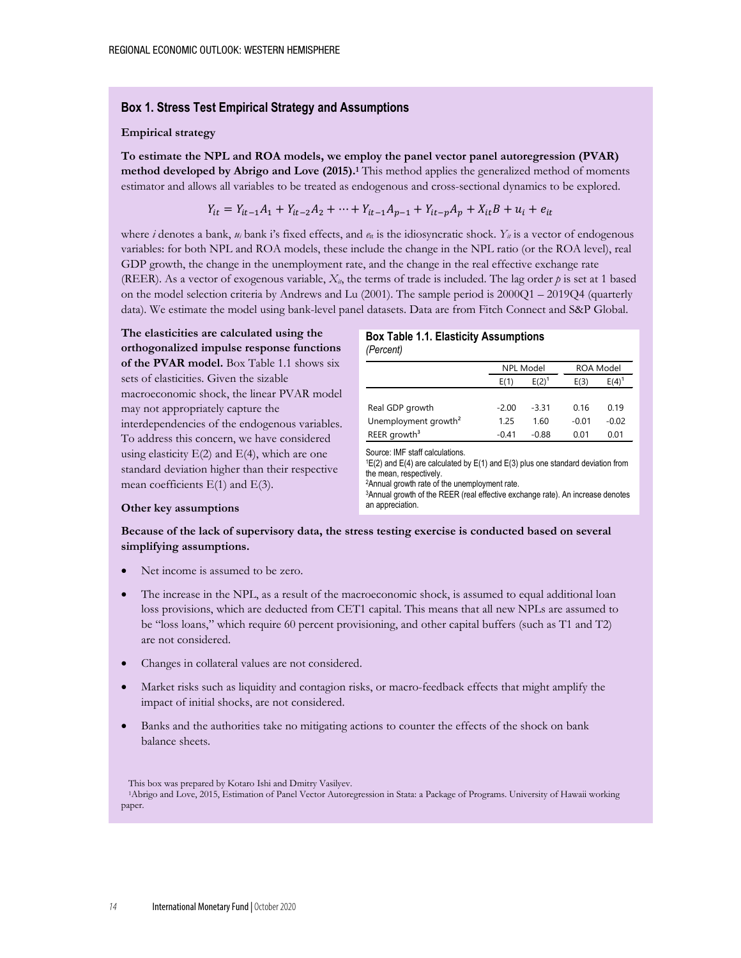#### **Box 1. Stress Test Empirical Strategy and Assumptions**

#### **Empirical strategy**

**To estimate the NPL and ROA models, we employ the panel vector panel autoregression (PVAR) method developed by Abrigo and Love (2015).1** This method applies the generalized method of moments estimator and allows all variables to be treated as endogenous and cross-sectional dynamics to be explored.

$$
Y_{it} = Y_{it-1}A_1 + Y_{it-2}A_2 + \dots + Y_{it-1}A_{p-1} + Y_{it-p}A_p + X_{it}B + u_i + e_{it}
$$

where *i* denotes a bank,  $u_i$  bank i's fixed effects, and  $e_i$  is the idiosyncratic shock.  $Y_{ii}$  is a vector of endogenous variables: for both NPL and ROA models, these include the change in the NPL ratio (or the ROA level), real GDP growth, the change in the unemployment rate, and the change in the real effective exchange rate (REER). As a vector of exogenous variable,  $X_{ii}$ , the terms of trade is included. The lag order  $p$  is set at 1 based on the model selection criteria by Andrews and Lu (2001). The sample period is 2000Q1 – 2019Q4 (quarterly data). We estimate the model using bank-level panel datasets. Data are from Fitch Connect and S&P Global.

**The elasticities are calculated using the orthogonalized impulse response functions of the PVAR model.** Box Table 1.1 shows six sets of elasticities. Given the sizable macroeconomic shock, the linear PVAR model may not appropriately capture the interdependencies of the endogenous variables. To address this concern, we have considered using elasticity  $E(2)$  and  $E(4)$ , which are one standard deviation higher than their respective mean coefficients E(1) and E(3).

#### **Box Table 1.1. Elasticity Assumptions** *(Percent)*

|                                  | <b>NPL Model</b> |            | <b>ROA Model</b> |         |
|----------------------------------|------------------|------------|------------------|---------|
|                                  | E(1)             | $E(2)^{1}$ | E(3)             | E(4)    |
|                                  |                  |            |                  |         |
| Real GDP growth                  | $-2.00$          | $-3.31$    | 0.16             | 0.19    |
| Unemployment growth <sup>2</sup> | 1.25             | 1.60       | $-0.01$          | $-0.02$ |
| REER growth <sup>3</sup>         | $-0.41$          | $-0.88$    | 0.01             | 0.01    |

Source: IMF staff calculations.

 $1E(2)$  and  $E(4)$  are calculated by  $E(1)$  and  $E(3)$  plus one standard deviation from the mean, respectively.

2Annual growth rate of the unemployment rate.

3Annual growth of the REER (real effective exchange rate). An increase denotes an appreciation.

#### **Other key assumptions**

#### **Because of the lack of supervisory data, the stress testing exercise is conducted based on several simplifying assumptions.**

- Net income is assumed to be zero.
- The increase in the NPL, as a result of the macroeconomic shock, is assumed to equal additional loan loss provisions, which are deducted from CET1 capital. This means that all new NPLs are assumed to be "loss loans," which require 60 percent provisioning, and other capital buffers (such as T1 and T2) are not considered.
- Changes in collateral values are not considered.
- Market risks such as liquidity and contagion risks, or macro-feedback effects that might amplify the impact of initial shocks, are not considered.
- Banks and the authorities take no mitigating actions to counter the effects of the shock on bank balance sheets.

This box was prepared by Kotaro Ishi and Dmitry Vasilyev.

 <sup>1</sup>Abrigo and Love, 2015, Estimation of Panel Vector Autoregression in Stata: a Package of Programs. University of Hawaii working paper.